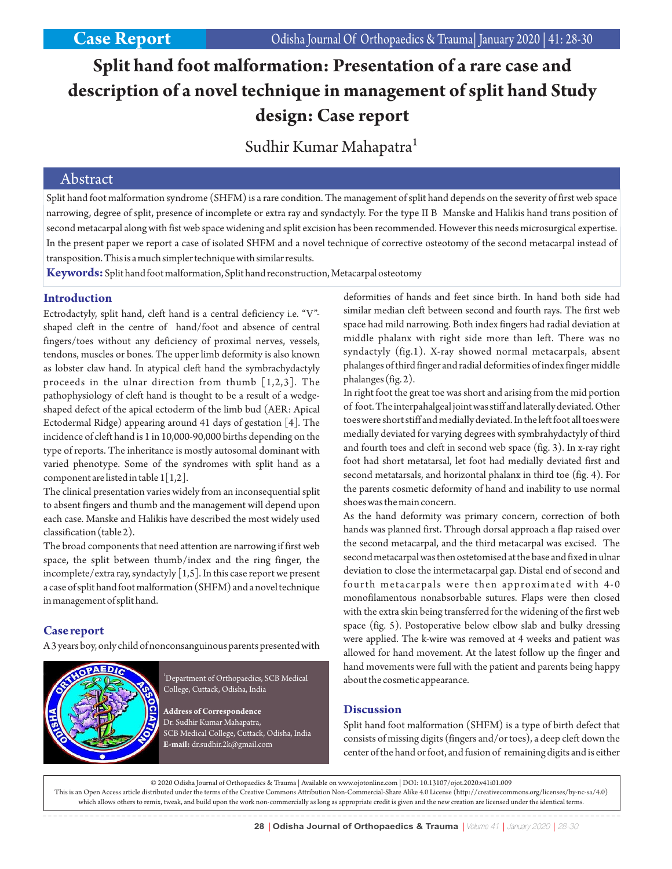# **Split hand foot malformation: Presentation of a rare case and description of a novel technique in management of split hand Study design: Case report**

Sudhir Kumar Mahapatra<sup>1</sup>

### Abstract

Split hand foot malformation syndrome (SHFM) is a rare condition. The management of split hand depends on the severity of first web space narrowing, degree of split, presence of incomplete or extra ray and syndactyly. For the type II B Manske and Halikis hand trans position of second metacarpal along with fist web space widening and split excision has been recommended. However this needs microsurgical expertise. In the present paper we report a case of isolated SHFM and a novel technique of corrective osteotomy of the second metacarpal instead of transposition. This is a much simpler technique with similar results.

**Keywords:**Split hand foot malformation, Split hand reconstruction, Metacarpal osteotomy

#### **Introduction**

Ectrodactyly, split hand, cleft hand is a central deficiency i.e. "V" shaped cleft in the centre of hand/foot and absence of central fingers/toes without any deficiency of proximal nerves, vessels, tendons, muscles or bones. The upper limb deformity is also known as lobster claw hand. In atypical cleft hand the symbrachydactyly proceeds in the ulnar direction from thumb  $[1,2,3]$ . The pathophysiology of cleft hand is thought to be a result of a wedgeshaped defect of the apical ectoderm of the limb bud (AER: Apical Ectodermal Ridge) appearing around 41 days of gestation [4]. The incidence of cleft hand is 1 in 10,000-90,000 births depending on the type of reports. The inheritance is mostly autosomal dominant with varied phenotype. Some of the syndromes with split hand as a component are listed in table 1[1,2].

The clinical presentation varies widely from an inconsequential split to absent fingers and thumb and the management will depend upon each case. Manske and Halikis have described the most widely used classification (table 2).

The broad components that need attention are narrowing if first web space, the split between thumb/index and the ring finger, the incomplete/extra ray, syndactyly [1,5]. In this case report we present a case of split hand foot malformation (SHFM) and a novel technique in management of split hand.

#### **Case report**

A 3 years boy, only child of nonconsanguinous parents presented with



<sup>1</sup>Department of Orthopaedics, SCB Medical College, Cuttack, Odisha, India

**Address of Correspondence** Dr. Sudhir Kumar Mahapatra, SCB Medical College, Cuttack, Odisha, India **E-mail:** dr.sudhir.2k@gmail.com

deformities of hands and feet since birth. In hand both side had similar median cleft between second and fourth rays. The first web space had mild narrowing. Both index fingers had radial deviation at middle phalanx with right side more than left. There was no syndactyly (fig.1). X-ray showed normal metacarpals, absent phalanges of third finger and radial deformities of index finger middle phalanges (fig. 2).

In right foot the great toe was short and arising from the mid portion of foot. The interpahalgeal joint was stiff and laterally deviated. Other toes were short stiff and medially deviated. In the left foot all toes were medially deviated for varying degrees with symbrahydactyly of third and fourth toes and cleft in second web space (fig. 3). In x-ray right foot had short metatarsal, let foot had medially deviated first and second metatarsals, and horizontal phalanx in third toe (fig. 4). For the parents cosmetic deformity of hand and inability to use normal shoes was the main concern.

As the hand deformity was primary concern, correction of both hands was planned first. Through dorsal approach a flap raised over the second metacarpal, and the third metacarpal was excised. The second metacarpal was then ostetomised at the base and fixed in ulnar deviation to close the intermetacarpal gap. Distal end of second and fourth metacarpals were then approximated with 4-0 monofilamentous nonabsorbable sutures. Flaps were then closed with the extra skin being transferred for the widening of the first web space (fig. 5). Postoperative below elbow slab and bulky dressing were applied. The k-wire was removed at 4 weeks and patient was allowed for hand movement. At the latest follow up the finger and hand movements were full with the patient and parents being happy about the cosmetic appearance.

#### **Discussion**

Split hand foot malformation (SHFM) is a type of birth defect that consists of missing digits (fingers and/or toes), a deep cleft down the center of the hand or foot, and fusion of remaining digits and is either

© 2020 Odisha Journal of Orthopaedics & Trauma | Available on www.ojotonline.com | DOI: 10.13107/ojot.2020.v41i01.009 This is an Open Access article distributed under the terms of the Creative Commons Attribution Non-Commercial-Share Alike 4.0 License (http://creativecommons.org/licenses/by-nc-sa/4.0) which allows others to remix, tweak, and build upon the work non-commercially as long as appropriate credit is given and the new creation are licensed under the identical terms.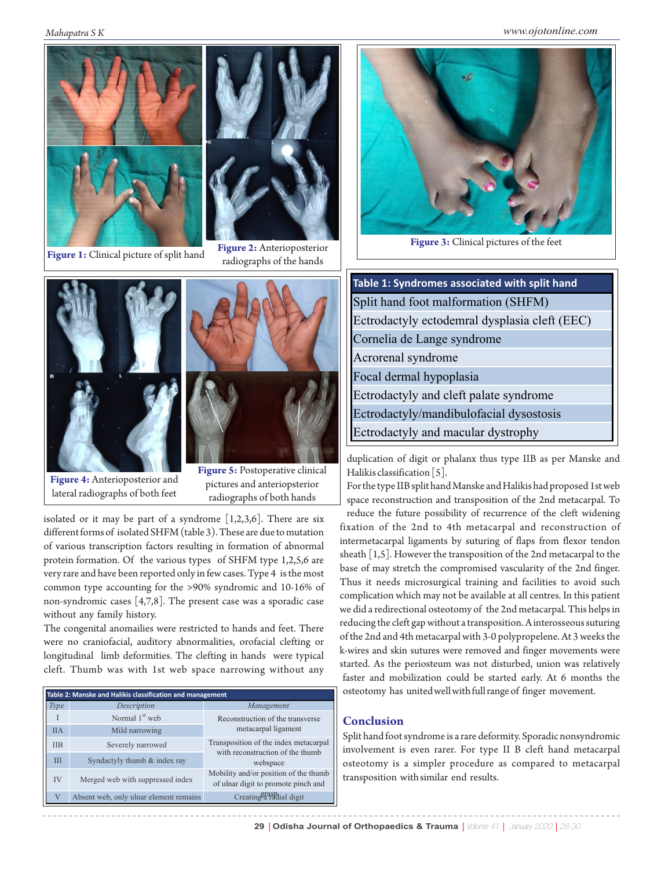*Mahapatra S K www.ojotonline.com*





**Figure 1:** Clinical picture of split hand **Figure 2:** Anterioposterior radiographs of the hands





**Figure 4:** Anterioposterior and lateral radiographs of both feet

**Figure 5:** Postoperative clinical pictures and anteriopsterior radiographs of both hands

isolated or it may be part of a syndrome  $[1,2,3,6]$ . There are six different forms of isolated SHFM (table 3). These are due to mutation of various transcription factors resulting in formation of abnormal protein formation. Of the various types of SHFM type 1,2,5,6 are very rare and have been reported only in few cases. Type 4 is the most common type accounting for the >90% syndromic and 10-16% of non-syndromic cases [4,7,8]. The present case was a sporadic case without any family history.

The congenital anomailies were restricted to hands and feet. There were no craniofacial, auditory abnormalities, orofacial clefting or longitudinal limb deformities. The clefting in hands were typical cleft. Thumb was with 1st web space narrowing without any

| Table 2: Manske and Halikis classification and management |                                        |                                                                                                                                                                                                                                  |  |  |  |  |
|-----------------------------------------------------------|----------------------------------------|----------------------------------------------------------------------------------------------------------------------------------------------------------------------------------------------------------------------------------|--|--|--|--|
| Type                                                      | Description                            | Management                                                                                                                                                                                                                       |  |  |  |  |
| T                                                         | Normal 1 <sup>st</sup> web             | Reconstruction of the transverse<br>metacarpal ligament<br>Transposition of the index metacarpal<br>with reconstruction of the thumb<br>webspace<br>Mobility and/or position of the thumb<br>of ulnar digit to promote pinch and |  |  |  |  |
| <b>IIA</b>                                                | Mild narrowing                         |                                                                                                                                                                                                                                  |  |  |  |  |
| <b>IIB</b>                                                | Severely narrowed                      |                                                                                                                                                                                                                                  |  |  |  |  |
| ΠI                                                        | Syndactyly thumb & index ray           |                                                                                                                                                                                                                                  |  |  |  |  |
| IV                                                        | Merged web with suppressed index       |                                                                                                                                                                                                                                  |  |  |  |  |
| $\overline{V}$                                            | Absent web, only ulnar element remains | Creating a radial digit                                                                                                                                                                                                          |  |  |  |  |



**Figure 3:** Clinical pictures of the feet

| Table 1: Syndromes associated with split hand |  |  |  |  |
|-----------------------------------------------|--|--|--|--|
| Split hand foot malformation (SHFM)           |  |  |  |  |
| Ectrodactyly ectodemral dysplasia cleft (EEC) |  |  |  |  |
| Cornelia de Lange syndrome                    |  |  |  |  |
| Acrorenal syndrome                            |  |  |  |  |
| Focal dermal hypoplasia                       |  |  |  |  |
| Ectrodactyly and cleft palate syndrome        |  |  |  |  |
| Ectrodactyly/mandibulofacial dysostosis       |  |  |  |  |
| Ectrodactyly and macular dystrophy            |  |  |  |  |

duplication of digit or phalanx thus type IIB as per Manske and Halikis classification [5].

For the type IIB split hand Manske and Halikis had proposed 1st web space reconstruction and transposition of the 2nd metacarpal. To

reduce the future possibility of recurrence of the cleft widening fixation of the 2nd to 4th metacarpal and reconstruction of intermetacarpal ligaments by suturing of flaps from flexor tendon sheath [1,5]. However the transposition of the 2nd metacarpal to the base of may stretch the compromised vascularity of the 2nd finger. Thus it needs microsurgical training and facilities to avoid such complication which may not be available at all centres. In this patient we did a redirectional osteotomy of the 2nd metacarpal. This helps in reducing the cleft gap without a transposition. A interosseous suturing of the 2nd and 4th metacarpal with 3-0 polypropelene. At 3 weeks the k-wires and skin sutures were removed and finger movements were started. As the periosteum was not disturbed, union was relatively faster and mobilization could be started early. At 6 months the osteotomy has united well with full range of finger movement.

#### **Conclusion**

Split hand foot syndrome is a rare deformity. Sporadic nonsyndromic involvement is even rarer. For type II B cleft hand metacarpal osteotomy is a simpler procedure as compared to metacarpal transposition with similar end results.

29 | Odisha Journal of Orthopaedics & Trauma | Volume 41 | January 2020 | 28-30